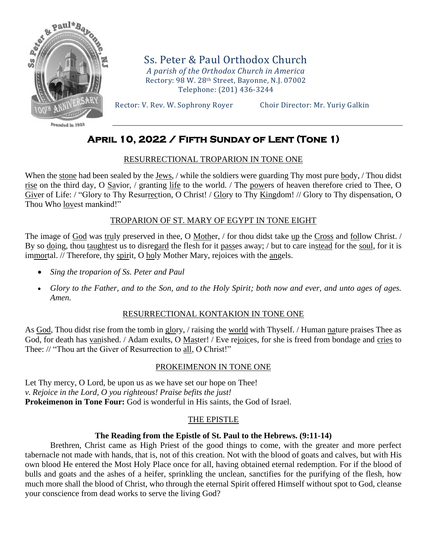

Founded in 1922

Ss. Peter & Paul Orthodox Church *A parish of the Orthodox Church in America* Rectory: 98 W. 28th Street, Bayonne, N.J. 07002 Telephone: (201) 436-3244

Rector: V. Rev. W. Sophrony Royer Choir Director: Mr. Yuriy Galkin

# **April 10, 2022 / Fifth Sunday of Lent (Tone 1)**

## RESURRECTIONAL TROPARION IN TONE ONE

When the stone had been sealed by the Jews, / while the soldiers were guarding Thy most pure body, / Thou didst rise on the third day, O Savior, / granting life to the world. / The powers of heaven therefore cried to Thee, O Giver of Life: / "Glory to Thy Resurrection, O Christ! / Glory to Thy Kingdom! // Glory to Thy dispensation, O Thou Who lovest mankind!"

## TROPARION OF ST. MARY OF EGYPT IN TONE EIGHT

The image of God was truly preserved in thee, O Mother, / for thou didst take up the Cross and follow Christ. / By so doing, thou taughtest us to disregard the flesh for it passes away; / but to care instead for the soul, for it is immortal. // Therefore, thy spirit, O holy Mother Mary, rejoices with the angels.

- *Sing the troparion of Ss. Peter and Paul*
- *Glory to the Father, and to the Son, and to the Holy Spirit; both now and ever, and unto ages of ages. Amen.*

## RESURRECTIONAL KONTAKION IN TONE ONE

As God, Thou didst rise from the tomb in glory, / raising the world with Thyself. / Human nature praises Thee as God, for death has vanished. / Adam exults, O Master! / Eve rejoices, for she is freed from bondage and cries to Thee: // "Thou art the Giver of Resurrection to all, O Christ!"

### PROKEIMENON IN TONE ONE

Let Thy mercy, O Lord, be upon us as we have set our hope on Thee! *v. Rejoice in the Lord, O you righteous! Praise befits the just!* **Prokeimenon in Tone Four:** God is wonderful in His saints, the God of Israel.

## THE EPISTLE

### **The Reading from the Epistle of St. Paul to the Hebrews. (9:11-14)**

Brethren, Christ came as High Priest of the good things to come, with the greater and more perfect tabernacle not made with hands, that is, not of this creation. Not with the blood of goats and calves, but with His own blood He entered the Most Holy Place once for all, having obtained eternal redemption. For if the blood of bulls and goats and the ashes of a heifer, sprinkling the unclean, sanctifies for the purifying of the flesh, how much more shall the blood of Christ, who through the eternal Spirit offered Himself without spot to God, cleanse your conscience from dead works to serve the living God?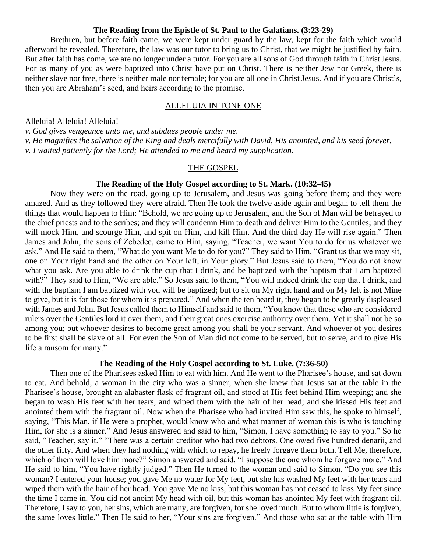#### **The Reading from the Epistle of St. Paul to the Galatians. (3:23-29)**

Brethren, but before faith came, we were kept under guard by the law, kept for the faith which would afterward be revealed. Therefore, the law was our tutor to bring us to Christ, that we might be justified by faith. But after faith has come, we are no longer under a tutor. For you are all sons of God through faith in Christ Jesus. For as many of you as were baptized into Christ have put on Christ. There is neither Jew nor Greek, there is neither slave nor free, there is neither male nor female; for you are all one in Christ Jesus. And if you are Christ's, then you are Abraham's seed, and heirs according to the promise.

#### ALLELUIA IN TONE ONE

Alleluia! Alleluia! Alleluia!

*v. God gives vengeance unto me, and subdues people under me.*

*v. He magnifies the salvation of the King and deals mercifully with David, His anointed, and his seed forever. v. I waited patiently for the Lord; He attended to me and heard my supplication.*

#### THE GOSPEL

### **The Reading of the Holy Gospel according to St. Mark. (10:32-45)**

Now they were on the road, going up to Jerusalem, and Jesus was going before them; and they were amazed. And as they followed they were afraid. Then He took the twelve aside again and began to tell them the things that would happen to Him: "Behold, we are going up to Jerusalem, and the Son of Man will be betrayed to the chief priests and to the scribes; and they will condemn Him to death and deliver Him to the Gentiles; and they will mock Him, and scourge Him, and spit on Him, and kill Him. And the third day He will rise again." Then James and John, the sons of Zebedee, came to Him, saying, "Teacher, we want You to do for us whatever we ask." And He said to them, "What do you want Me to do for you?" They said to Him, "Grant us that we may sit, one on Your right hand and the other on Your left, in Your glory." But Jesus said to them, "You do not know what you ask. Are you able to drink the cup that I drink, and be baptized with the baptism that I am baptized with?" They said to Him, "We are able." So Jesus said to them, "You will indeed drink the cup that I drink, and with the baptism I am baptized with you will be baptized; but to sit on My right hand and on My left is not Mine to give, but it is for those for whom it is prepared." And when the ten heard it, they began to be greatly displeased with James and John. But Jesus called them to Himself and said to them, "You know that those who are considered rulers over the Gentiles lord it over them, and their great ones exercise authority over them. Yet it shall not be so among you; but whoever desires to become great among you shall be your servant. And whoever of you desires to be first shall be slave of all. For even the Son of Man did not come to be served, but to serve, and to give His life a ransom for many."

#### **The Reading of the Holy Gospel according to St. Luke. (7:36-50)**

Then one of the Pharisees asked Him to eat with him. And He went to the Pharisee's house, and sat down to eat. And behold, a woman in the city who was a sinner, when she knew that Jesus sat at the table in the Pharisee's house, brought an alabaster flask of fragrant oil, and stood at His feet behind Him weeping; and she began to wash His feet with her tears, and wiped them with the hair of her head; and she kissed His feet and anointed them with the fragrant oil. Now when the Pharisee who had invited Him saw this, he spoke to himself, saying, "This Man, if He were a prophet, would know who and what manner of woman this is who is touching Him, for she is a sinner." And Jesus answered and said to him, "Simon, I have something to say to you." So he said, "Teacher, say it." "There was a certain creditor who had two debtors. One owed five hundred denarii, and the other fifty. And when they had nothing with which to repay, he freely forgave them both. Tell Me, therefore, which of them will love him more?" Simon answered and said, "I suppose the one whom he forgave more." And He said to him, "You have rightly judged." Then He turned to the woman and said to Simon, "Do you see this woman? I entered your house; you gave Me no water for My feet, but she has washed My feet with her tears and wiped them with the hair of her head. You gave Me no kiss, but this woman has not ceased to kiss My feet since the time I came in. You did not anoint My head with oil, but this woman has anointed My feet with fragrant oil. Therefore, I say to you, her sins, which are many, are forgiven, for she loved much. But to whom little is forgiven, the same loves little." Then He said to her, "Your sins are forgiven." And those who sat at the table with Him